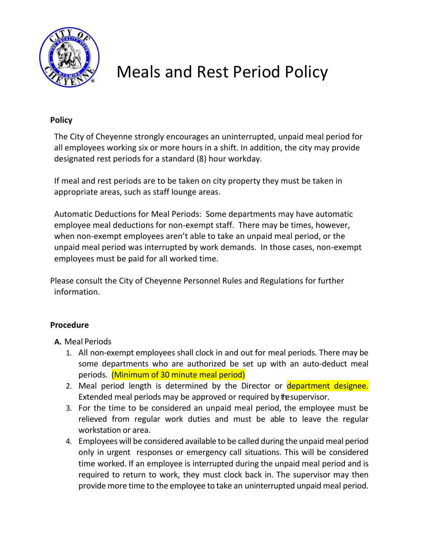

# Meals and Rest Period Policy

#### **Policy**

 The City of Cheyenne strongly encourages an uninterrupted, unpaid meal period for all employees working six or more hours in a shift. In addition, the city may provide designated rest periods for a standard (8) hour workday.

 If meal and rest periods are to be taken on city property they must be taken in appropriate areas, such as staff lounge areas.

 Automatic Deductions for Meal Periods: Some departments may have automatic employee meal deductions for non-exempt staff. There may be times, however, when non-exempt employees aren't able to take an unpaid meal period, or the unpaid meal period was interrupted by work demands. In those cases, non-exempt employees must be paid for all worked time.

Please consult the City of Cheyenne Personnel Rules and Regulations for further information.

### **Procedure**

### **A.** Meal Periods

- 1. All non-exempt employees shall clock in and out for meal periods. There may be some departments who are authorized be set up with an auto-deduct meal periods. (Minimum of 30 minute meal period)
- 2. Meal period length is determined by the Director or department designee. Extended meal periods may be approved or required by thesupervisor.
- 3. For the time to be considered an unpaid meal period, the employee must be relieved from regular work duties and must be able to leave the regular workstation or area.
- 4. Employees will be considered available to be called during the unpaid meal period only in urgent responses or emergency call situations. This will be considered time worked. If an employee is interrupted during the unpaid meal period and is required to return to work, they must clock back in. The supervisor may then provide more time to the employee to take an uninterrupted unpaid meal period.